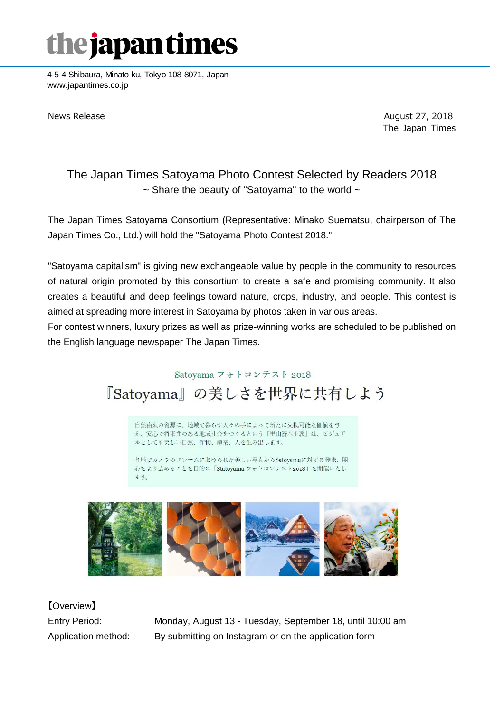### the japan times

4-5-4 Shibaura, Minato-ku, Tokyo 108-8071, Japan www.japantimes.co.jp

News Release **August 27, 2018** News Release The Japan Times

#### The Japan Times Satoyama Photo Contest Selected by Readers 2018  $\sim$  Share the beauty of "Satoyama" to the world  $\sim$

The Japan Times Satoyama Consortium (Representative: Minako Suematsu, chairperson of The Japan Times Co., Ltd.) will hold the "Satoyama Photo Contest 2018."

"Satoyama capitalism" is giving new exchangeable value by people in the community to resources of natural origin promoted by this consortium to create a safe and promising community. It also creates a beautiful and deep feelings toward nature, crops, industry, and people. This contest is aimed at spreading more interest in Satoyama by photos taken in various areas.

For contest winners, luxury prizes as well as prize-winning works are scheduled to be published on the English language newspaper The Japan Times.

### Satoyama フォトコンテスト 2018 『Satoyama』の美しさを世界に共有しよう

自然由来の資源に、地域で暮らす人々の手によって新たに交換可能な価値を与 え、安心で将来性のある地域社会をつくるという『里山資本主義』は、ビジュア ルとしても美しい自然、作物、産業、人を生み出します。

各地でカメラのフレームに収められた美しい写真からSatoyamaに対する興味、関 心をより広めることを目的に「Statoyama フォトコンテスト2018」を開催いたし ます。



【Overview】

Entry Period: Monday, August 13 - Tuesday, September 18, until 10:00 am Application method: By submitting on Instagram or on the application form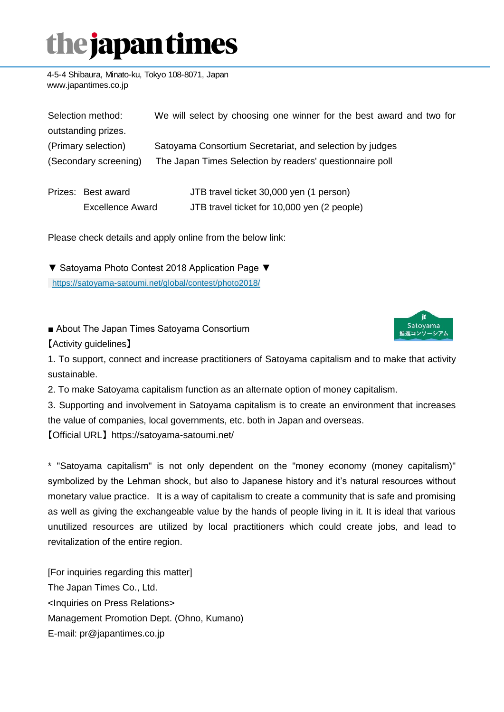# the japan times

4-5-4 Shibaura, Minato-ku, Tokyo 108-8071, Japan www.japantimes.co.jp

| Selection method:     |                         | We will select by choosing one winner for the best award and two for |
|-----------------------|-------------------------|----------------------------------------------------------------------|
|                       | outstanding prizes.     |                                                                      |
| (Primary selection)   |                         | Satoyama Consortium Secretariat, and selection by judges             |
| (Secondary screening) |                         | The Japan Times Selection by readers' questionnaire poll             |
|                       | Prizes: Best award      | JTB travel ticket 30,000 yen (1 person)                              |
|                       | <b>Excellence Award</b> | JTB travel ticket for 10,000 yen (2 people)                          |

Please check details and apply online from the below link:

▼ Satoyama Photo Contest 2018 Application Page ▼ [https://satoyama-satoumi.net/global/contest/photo2018/](https://satoyama-satoumi.net/?page_id=533&preview=true)

■ About The Japan Times Satoyama Consortium



【Activity guidelines】

1. To support, connect and increase practitioners of Satoyama capitalism and to make that activity sustainable.

2. To make Satoyama capitalism function as an alternate option of money capitalism.

3. Supporting and involvement in Satoyama capitalism is to create an environment that increases the value of companies, local governments, etc. both in Japan and overseas.

【Official URL】 https://satoyama-satoumi.net/

\* "Satoyama capitalism" is not only dependent on the "money economy (money capitalism)" symbolized by the Lehman shock, but also to Japanese history and it's natural resources without monetary value practice. It is a way of capitalism to create a community that is safe and promising as well as giving the exchangeable value by the hands of people living in it. It is ideal that various unutilized resources are utilized by local practitioners which could create jobs, and lead to revitalization of the entire region.

[For inquiries regarding this matter] The Japan Times Co., Ltd. <Inquiries on Press Relations> Management Promotion Dept. (Ohno, Kumano) E-mail: pr@japantimes.co.jp